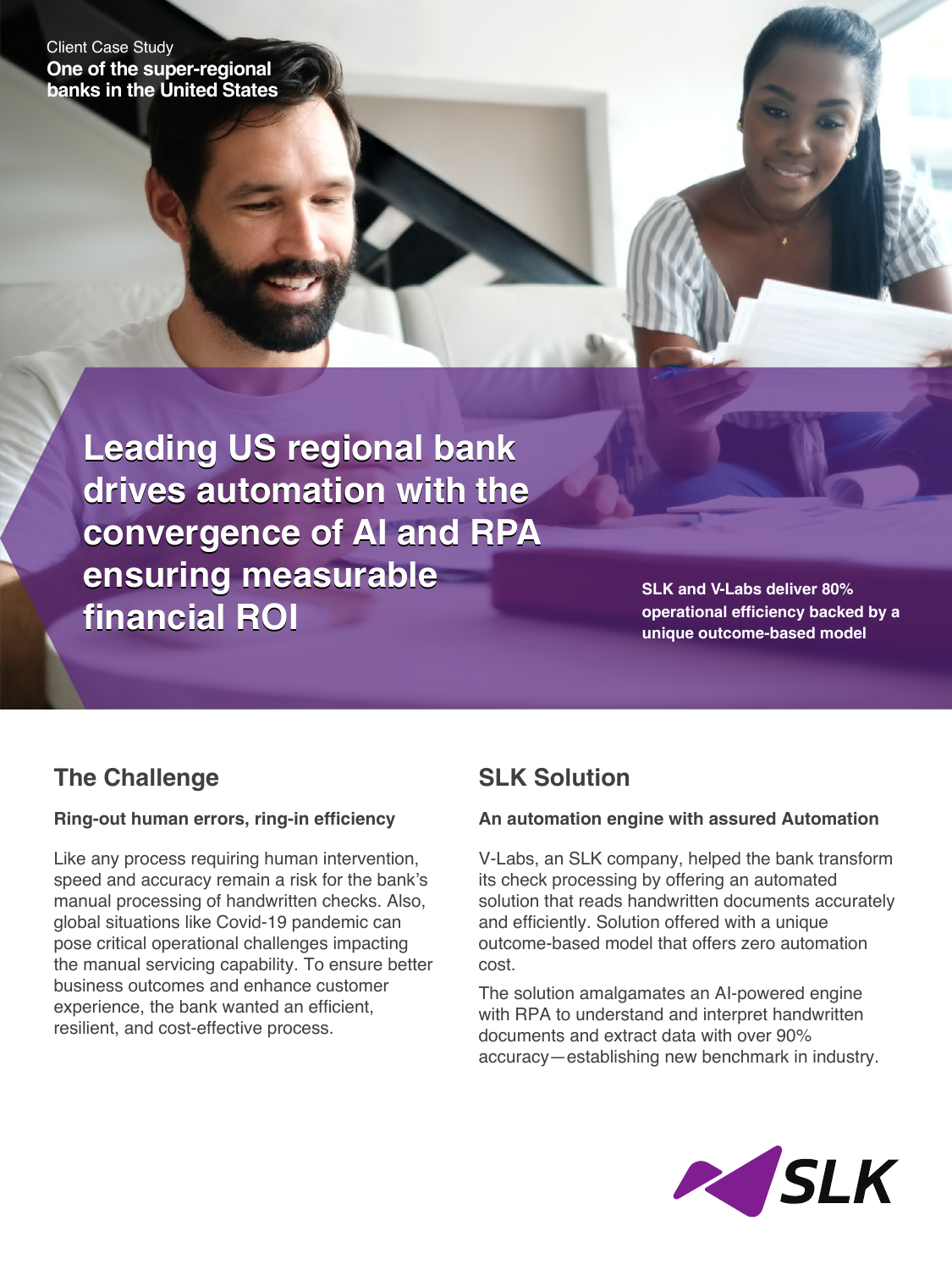Client Case Study **One of the super-regional banks in the United States**

> **Leading US regional bank Leading US regional bank drives automation with the drives automation with the convergence of AI and RPA convergence of AI and RPA ensuring measurable ensuring measurable financial ROI financial ROI**

**SLK and V-Labs deliver 80% operational efficiency backed by a unique outcome-based model** 

## **The Challenge**

### **Ring-out human errors, ring-in efficiency**

Like any process requiring human intervention, speed and accuracy remain a risk for the bank's manual processing of handwritten checks. Also, global situations like Covid-19 pandemic can pose critical operational challenges impacting the manual servicing capability. To ensure better business outcomes and enhance customer experience, the bank wanted an efficient, resilient, and cost-effective process.

# **SLK Solution**

### **An automation engine with assured Automation**

V-Labs, an SLK company, helped the bank transform its check processing by offering an automated solution that reads handwritten documents accurately and efficiently. Solution offered with a unique outcome-based model that offers zero automation cost.

The solution amalgamates an AI-powered engine with RPA to understand and interpret handwritten documents and extract data with over 90% accuracy—establishing new benchmark in industry.

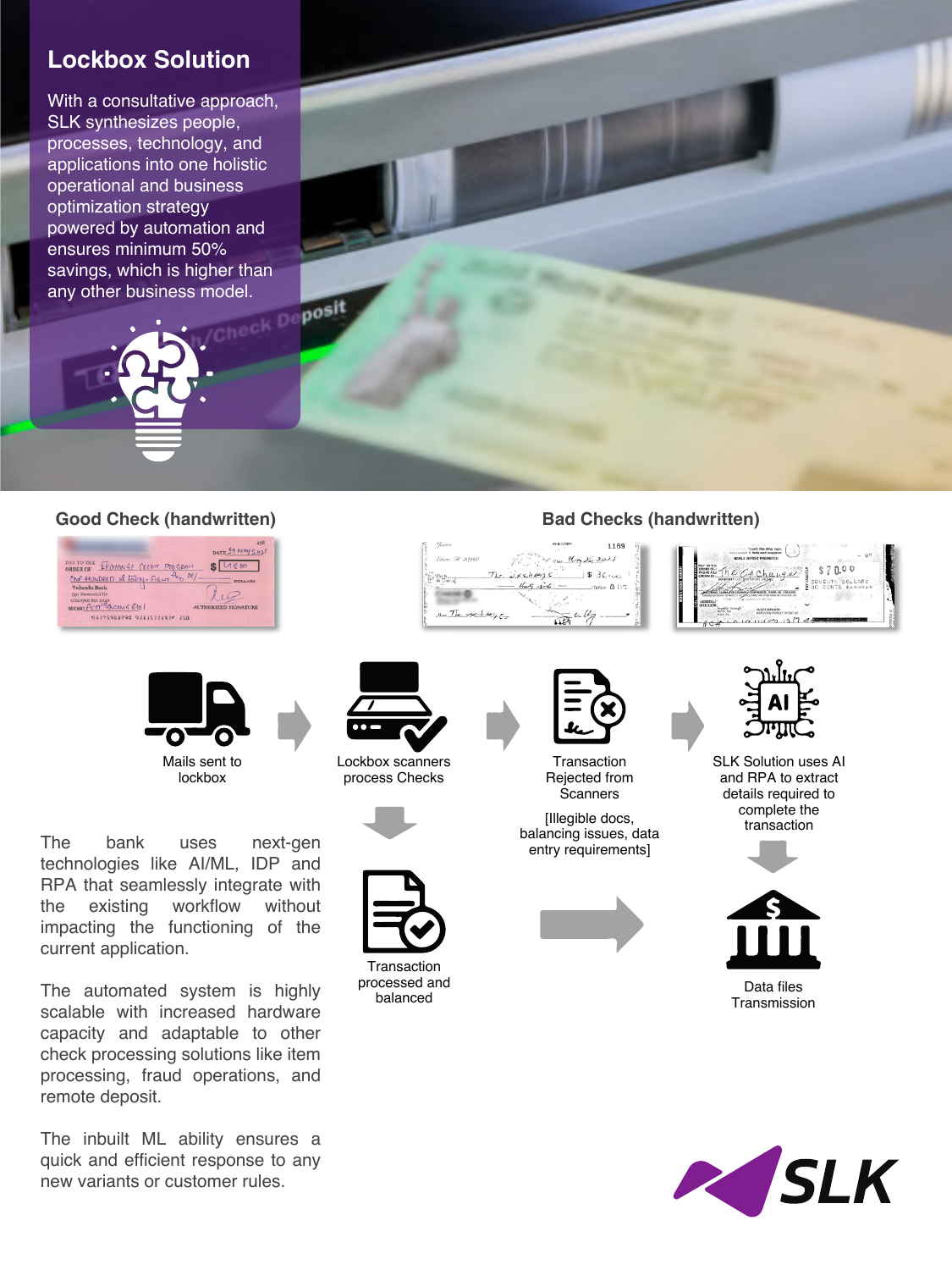## **Lockbox Solution**

With a consultative approach, SLK synthesizes people, processes, technology, and applications into one holistic operational and business optimization strategy powered by automation and ensures minimum 50% savings, which is higher than any other business model.

#### **Good Check (handwritten) Bad Checks (handwritten)**





The bank uses next-gen technologies like AI/ML, IDP and RPA that seamlessly integrate with the existing workflow without impacting the functioning of the current application.

The automated system is highly scalable with increased hardware capacity and adaptable to other check processing solutions like item processing, fraud operations, and remote deposit.

The inbuilt ML ability ensures a quick and efficient response to any new variants or customer rules.

 $-$ Pacis

- 0

Jan The specktory

Lockbox scanners process Checks





**Transaction** processed and balanced



new A Little





 $\overline{\phantom{a}}$  think  $\overline{\phantom{a}}$ 

2

 $\frac{1}{1104}$  4/7

**Transaction** Rejected from **Scanners** 

[Illegible docs, balancing issues, data entry requirements]





SLK Solution uses AI and RPA to extract details required to complete the transaction





Data files **Transmission**